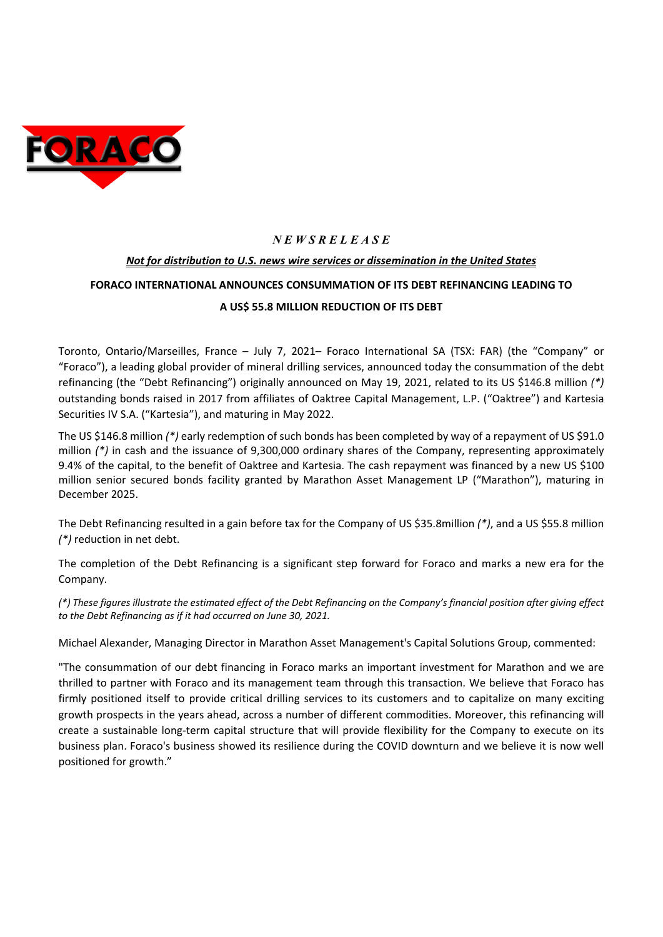

## *N E W S R E L E A S E*

## *Not for distribution to U.S. news wire services or dissemination in the United States*

# **FORACO INTERNATIONAL ANNOUNCES CONSUMMATION OF ITS DEBT REFINANCING LEADING TO**

## **A US\$ 55.8 MILLION REDUCTION OF ITS DEBT**

Toronto, Ontario/Marseilles, France – July 7, 2021– Foraco International SA (TSX: FAR) (the "Company" or "Foraco"), a leading global provider of mineral drilling services, announced today the consummation of the debt refinancing (the "Debt Refinancing") originally announced on May 19, 2021, related to its US \$146.8 million *(\*)* outstanding bonds raised in 2017 from affiliates of Oaktree Capital Management, L.P. ("Oaktree") and Kartesia Securities IV S.A. ("Kartesia"), and maturing in May 2022.

The US \$146.8 million *(\*)* early redemption of such bonds has been completed by way of a repayment of US \$91.0 million *(\*)* in cash and the issuance of 9,300,000 ordinary shares of the Company, representing approximately 9.4% of the capital, to the benefit of Oaktree and Kartesia. The cash repayment was financed by a new US \$100 million senior secured bonds facility granted by Marathon Asset Management LP ("Marathon"), maturing in December 2025.

The Debt Refinancing resulted in a gain before tax for the Company of US \$35.8million *(\*)*, and a US \$55.8 million *(\*)* reduction in net debt.

The completion of the Debt Refinancing is a significant step forward for Foraco and marks a new era for the Company.

(\*) These figures illustrate the estimated effect of the Debt Refinancing on the Company's financial position after giving effect *to the Debt Refinancing as if it had occurred on June 30, 2021.*

Michael Alexander, Managing Director in Marathon Asset Management's Capital Solutions Group, commented:

"The consummation of our debt financing in Foraco marks an important investment for Marathon and we are thrilled to partner with Foraco and its management team through this transaction. We believe that Foraco has firmly positioned itself to provide critical drilling services to its customers and to capitalize on many exciting growth prospects in the years ahead, across a number of different commodities. Moreover, this refinancing will create a sustainable long‐term capital structure that will provide flexibility for the Company to execute on its business plan. Foraco's business showed its resilience during the COVID downturn and we believe it is now well positioned for growth."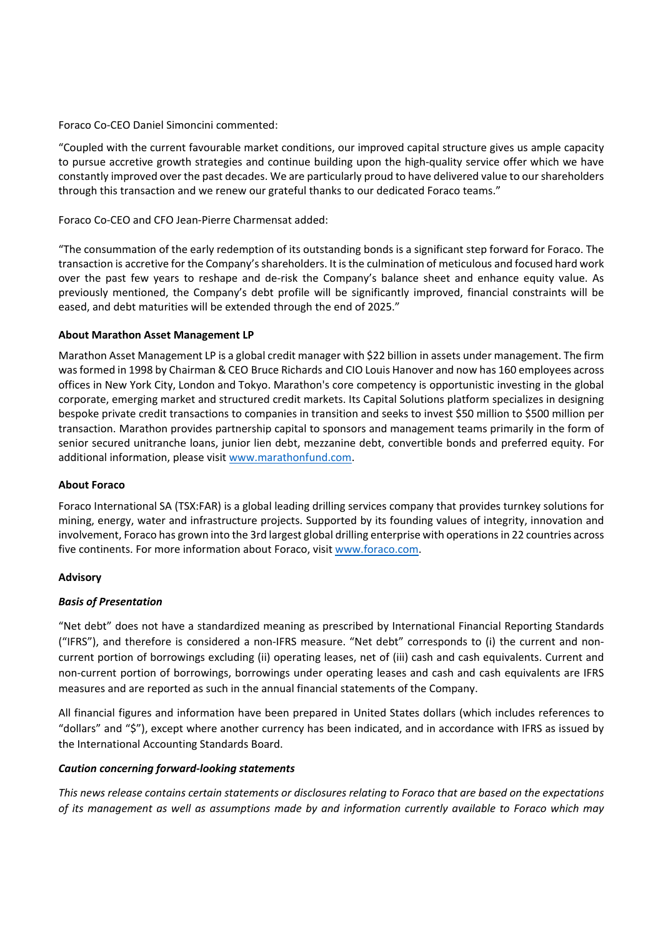Foraco Co‐CEO Daniel Simoncini commented:

"Coupled with the current favourable market conditions, our improved capital structure gives us ample capacity to pursue accretive growth strategies and continue building upon the high‐quality service offer which we have constantly improved over the past decades. We are particularly proud to have delivered value to ourshareholders through this transaction and we renew our grateful thanks to our dedicated Foraco teams."

Foraco Co‐CEO and CFO Jean‐Pierre Charmensat added:

"The consummation of the early redemption of its outstanding bonds is a significant step forward for Foraco. The transaction is accretive for the Company'sshareholders. It isthe culmination of meticulous and focused hard work over the past few years to reshape and de‐risk the Company's balance sheet and enhance equity value. As previously mentioned, the Company's debt profile will be significantly improved, financial constraints will be eased, and debt maturities will be extended through the end of 2025."

#### **About Marathon Asset Management LP**

Marathon Asset Management LP is a global credit manager with \$22 billion in assets under management. The firm wasformed in 1998 by Chairman & CEO Bruce Richards and CIO Louis Hanover and now has 160 employees across offices in New York City, London and Tokyo. Marathon's core competency is opportunistic investing in the global corporate, emerging market and structured credit markets. Its Capital Solutions platform specializes in designing bespoke private credit transactions to companies in transition and seeks to invest \$50 million to \$500 million per transaction. Marathon provides partnership capital to sponsors and management teams primarily in the form of senior secured unitranche loans, junior lien debt, mezzanine debt, convertible bonds and preferred equity. For additional information, please visit www.marathonfund.com.

#### **About Foraco**

Foraco International SA (TSX:FAR) is a global leading drilling services company that provides turnkey solutions for mining, energy, water and infrastructure projects. Supported by its founding values of integrity, innovation and involvement, Foraco has grown into the 3rd largest global drilling enterprise with operationsin 22 countries across five continents. For more information about Foraco, visit www.foraco.com.

## **Advisory**

## *Basis of Presentation*

"Net debt" does not have a standardized meaning as prescribed by International Financial Reporting Standards ("IFRS"), and therefore is considered a non‐IFRS measure. "Net debt" corresponds to (i) the current and non‐ current portion of borrowings excluding (ii) operating leases, net of (iii) cash and cash equivalents. Current and non‐current portion of borrowings, borrowings under operating leases and cash and cash equivalents are IFRS measures and are reported as such in the annual financial statements of the Company.

All financial figures and information have been prepared in United States dollars (which includes references to "dollars" and "\$"), except where another currency has been indicated, and in accordance with IFRS as issued by the International Accounting Standards Board.

#### *Caution concerning forward‐looking statements*

This news release contains certain statements or disclosures relating to Foraco that are based on the expectations *of its management as well as assumptions made by and information currently available to Foraco which may*